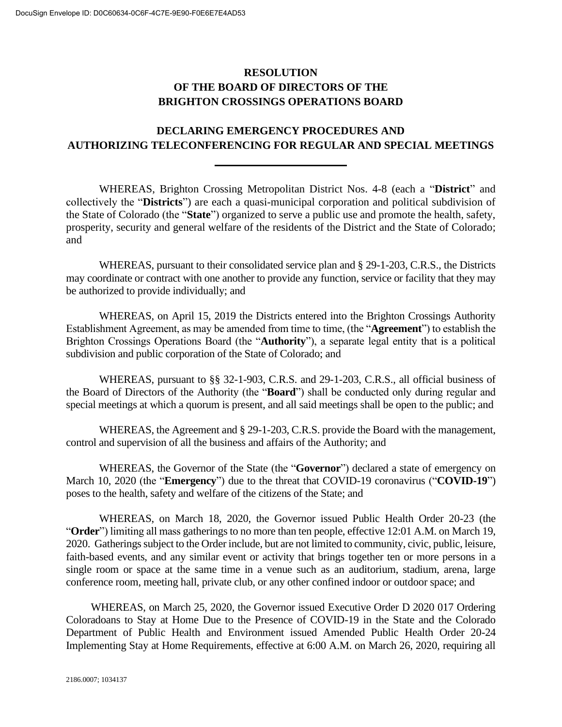## **RESOLUTION OF THE BOARD OF DIRECTORS OF THE BRIGHTON CROSSINGS OPERATIONS BOARD**

## **DECLARING EMERGENCY PROCEDURES AND AUTHORIZING TELECONFERENCING FOR REGULAR AND SPECIAL MEETINGS**

WHEREAS, Brighton Crossing Metropolitan District Nos. 4-8 (each a "**District**" and collectively the "**Districts**") are each a quasi-municipal corporation and political subdivision of the State of Colorado (the "**State**") organized to serve a public use and promote the health, safety, prosperity, security and general welfare of the residents of the District and the State of Colorado; and

WHEREAS, pursuant to their consolidated service plan and § 29-1-203, C.R.S., the Districts may coordinate or contract with one another to provide any function, service or facility that they may be authorized to provide individually; and

WHEREAS, on April 15, 2019 the Districts entered into the Brighton Crossings Authority Establishment Agreement, as may be amended from time to time, (the "**Agreement**") to establish the Brighton Crossings Operations Board (the "**Authority**"), a separate legal entity that is a political subdivision and public corporation of the State of Colorado; and

WHEREAS, pursuant to §§ 32-1-903, C.R.S. and 29-1-203, C.R.S., all official business of the Board of Directors of the Authority (the "**Board**") shall be conducted only during regular and special meetings at which a quorum is present, and all said meetings shall be open to the public; and

WHEREAS, the Agreement and § 29-1-203, C.R.S. provide the Board with the management, control and supervision of all the business and affairs of the Authority; and

WHEREAS, the Governor of the State (the "**Governor**") declared a state of emergency on March 10, 2020 (the "**Emergency**") due to the threat that COVID-19 coronavirus ("**COVID-19**") poses to the health, safety and welfare of the citizens of the State; and

WHEREAS, on March 18, 2020, the Governor issued Public Health Order 20-23 (the "**Order**") limiting all mass gatherings to no more than ten people, effective 12:01 A.M. on March 19, 2020. Gatherings subject to the Order include, but are not limited to community, civic, public, leisure, faith-based events, and any similar event or activity that brings together ten or more persons in a single room or space at the same time in a venue such as an auditorium, stadium, arena, large conference room, meeting hall, private club, or any other confined indoor or outdoor space; and

WHEREAS, on March 25, 2020, the Governor issued Executive Order D 2020 017 Ordering Coloradoans to Stay at Home Due to the Presence of COVID-19 in the State and the Colorado Department of Public Health and Environment issued Amended Public Health Order 20-24 Implementing Stay at Home Requirements, effective at 6:00 A.M. on March 26, 2020, requiring all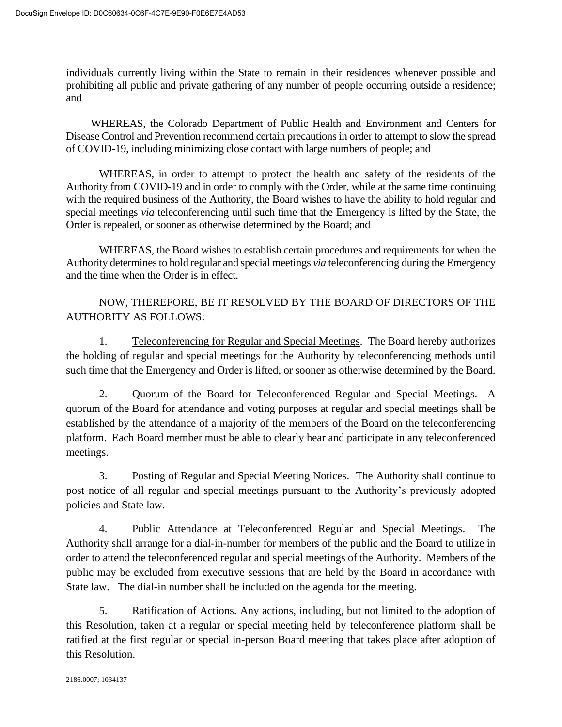individuals currently living within the State to remain in their residences whenever possible and prohibiting all public and private gathering of any number of people occurring outside a residence; and

WHEREAS, the Colorado Department of Public Health and Environment and Centers for Disease Control and Prevention recommend certain precautions in order to attempt to slow the spread of COVID-19, including minimizing close contact with large numbers of people; and

WHEREAS, in order to attempt to protect the health and safety of the residents of the Authority from COVID-19 and in order to comply with the Order, while at the same time continuing with the required business of the Authority, the Board wishes to have the ability to hold regular and special meetings *via* teleconferencing until such time that the Emergency is lifted by the State, the Order is repealed, or sooner as otherwise determined by the Board; and

WHEREAS, the Board wishes to establish certain procedures and requirements for when the Authority determines to hold regular and special meetings *via* teleconferencing during the Emergency and the time when the Order is in effect.

NOW, THEREFORE, BE IT RESOLVED BY THE BOARD OF DIRECTORS OF THE AUTHORITY AS FOLLOWS:

1. Teleconferencing for Regular and Special Meetings. The Board hereby authorizes the holding of regular and special meetings for the Authority by teleconferencing methods until such time that the Emergency and Order is lifted, or sooner as otherwise determined by the Board.

2. Quorum of the Board for Teleconferenced Regular and Special Meetings. A quorum of the Board for attendance and voting purposes at regular and special meetings shall be established by the attendance of a majority of the members of the Board on the teleconferencing platform. Each Board member must be able to clearly hear and participate in any teleconferenced meetings.

3. Posting of Regular and Special Meeting Notices. The Authority shall continue to post notice of all regular and special meetings pursuant to the Authority's previously adopted policies and State law.

4. Public Attendance at Teleconferenced Regular and Special Meetings. The Authority shall arrange for a dial-in-number for members of the public and the Board to utilize in order to attend the teleconferenced regular and special meetings of the Authority. Members of the public may be excluded from executive sessions that are held by the Board in accordance with State law. The dial-in number shall be included on the agenda for the meeting.

5. Ratification of Actions. Any actions, including, but not limited to the adoption of this Resolution, taken at a regular or special meeting held by teleconference platform shall be ratified at the first regular or special in-person Board meeting that takes place after adoption of this Resolution.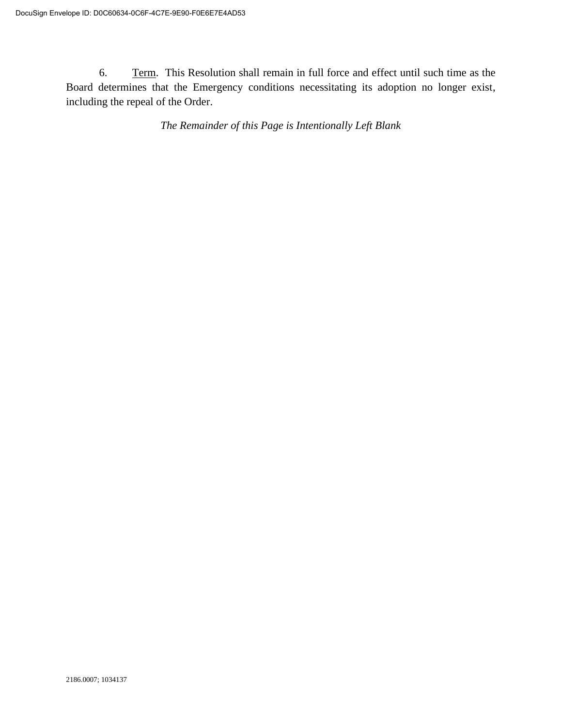6. Term. This Resolution shall remain in full force and effect until such time as the Board determines that the Emergency conditions necessitating its adoption no longer exist, including the repeal of the Order.

*The Remainder of this Page is Intentionally Left Blank*